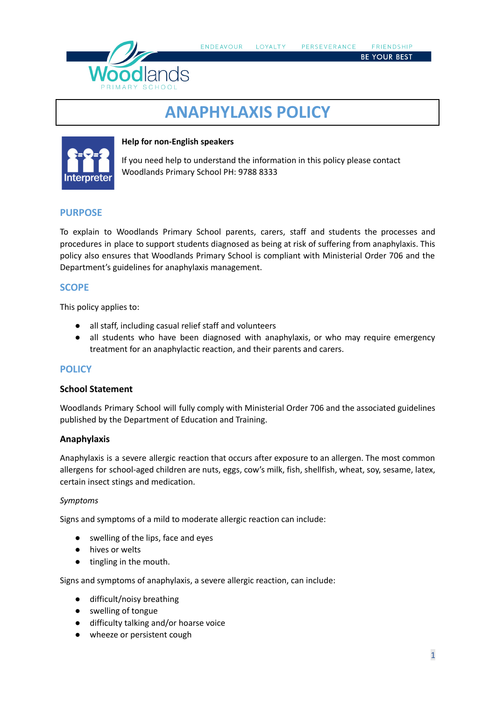

# **ANAPHYLAXIS POLICY**



#### **Help for non-English speakers**

If you need help to understand the information in this policy please contact Woodlands Primary School PH: 9788 8333

# **PURPOSE**

To explain to Woodlands Primary School parents, carers, staff and students the processes and procedures in place to support students diagnosed as being at risk of suffering from anaphylaxis. This policy also ensures that Woodlands Primary School is compliant with Ministerial Order 706 and the Department's guidelines for anaphylaxis management.

# **SCOPE**

This policy applies to:

- all staff, including casual relief staff and volunteers
- all students who have been diagnosed with anaphylaxis, or who may require emergency treatment for an anaphylactic reaction, and their parents and carers.

# **POLICY**

#### **School Statement**

Woodlands Primary School will fully comply with Ministerial Order 706 and the associated guidelines published by the Department of Education and Training.

# **Anaphylaxis**

Anaphylaxis is a severe allergic reaction that occurs after exposure to an allergen. The most common allergens for school-aged children are nuts, eggs, cow's milk, fish, shellfish, wheat, soy, sesame, latex, certain insect stings and medication.

#### *Symptoms*

Signs and symptoms of a mild to moderate allergic reaction can include:

- *●* swelling of the lips, face and eyes
- *●* hives or welts
- *●* tingling in the mouth.

Signs and symptoms of anaphylaxis, a severe allergic reaction, can include:

- difficult/noisy breathing
- swelling of tongue
- difficulty talking and/or hoarse voice
- wheeze or persistent cough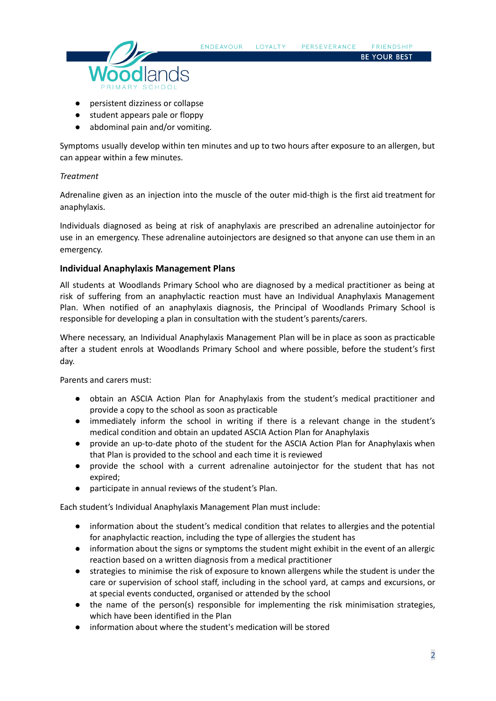

- persistent dizziness or collapse
- student appears pale or floppy
- abdominal pain and/or vomiting.

Symptoms usually develop within ten minutes and up to two hours after exposure to an allergen, but can appear within a few minutes.

# *Treatment*

Adrenaline given as an injection into the muscle of the outer mid-thigh is the first aid treatment for anaphylaxis.

Individuals diagnosed as being at risk of anaphylaxis are prescribed an adrenaline autoinjector for use in an emergency. These adrenaline autoinjectors are designed so that anyone can use them in an emergency.

# **Individual Anaphylaxis Management Plans**

All students at Woodlands Primary School who are diagnosed by a medical practitioner as being at risk of suffering from an anaphylactic reaction must have an Individual Anaphylaxis Management Plan. When notified of an anaphylaxis diagnosis, the Principal of Woodlands Primary School is responsible for developing a plan in consultation with the student's parents/carers.

Where necessary, an Individual Anaphylaxis Management Plan will be in place as soon as practicable after a student enrols at Woodlands Primary School and where possible, before the student's first day.

Parents and carers must:

- obtain an ASCIA Action Plan for Anaphylaxis from the student's medical practitioner and provide a copy to the school as soon as practicable
- immediately inform the school in writing if there is a relevant change in the student's medical condition and obtain an updated ASCIA Action Plan for Anaphylaxis
- provide an up-to-date photo of the student for the ASCIA Action Plan for Anaphylaxis when that Plan is provided to the school and each time it is reviewed
- provide the school with a current adrenaline autoinjector for the student that has not expired;
- participate in annual reviews of the student's Plan.

Each student's Individual Anaphylaxis Management Plan must include:

- information about the student's medical condition that relates to allergies and the potential for anaphylactic reaction, including the type of allergies the student has
- information about the signs or symptoms the student might exhibit in the event of an allergic reaction based on a written diagnosis from a medical practitioner
- strategies to minimise the risk of exposure to known allergens while the student is under the care or supervision of school staff, including in the school yard, at camps and excursions, or at special events conducted, organised or attended by the school
- the name of the person(s) responsible for implementing the risk minimisation strategies, which have been identified in the Plan
- information about where the student's medication will be stored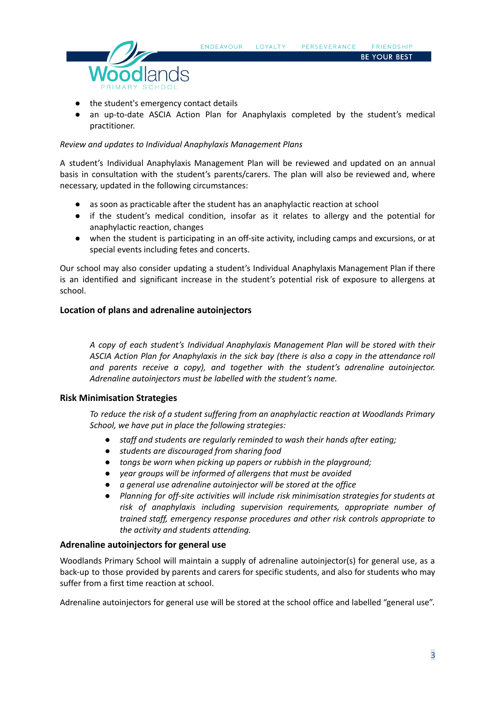

- the student's emergency contact details
- an up-to-date ASCIA Action Plan for Anaphylaxis completed by the student's medical practitioner.

#### *Review and updates to Individual Anaphylaxis Management Plans*

A student's Individual Anaphylaxis Management Plan will be reviewed and updated on an annual basis in consultation with the student's parents/carers. The plan will also be reviewed and, where necessary, updated in the following circumstances:

- as soon as practicable after the student has an anaphylactic reaction at school
- if the student's medical condition, insofar as it relates to allergy and the potential for anaphylactic reaction, changes
- when the student is participating in an off-site activity, including camps and excursions, or at special events including fetes and concerts.

Our school may also consider updating a student's Individual Anaphylaxis Management Plan if there is an identified and significant increase in the student's potential risk of exposure to allergens at school.

#### **Location of plans and adrenaline autoinjectors**

*A copy of each student's Individual Anaphylaxis Management Plan will be stored with their ASCIA Action Plan for Anaphylaxis in the sick bay (there is also a copy in the attendance roll and parents receive a copy), and together with the student's adrenaline autoinjector. Adrenaline autoinjectors must be labelled with the student's name.*

#### **Risk Minimisation Strategies**

*To reduce the risk of a student suffering from an anaphylactic reaction at Woodlands Primary School, we have put in place the following strategies:*

- *● staff and students are regularly reminded to wash their hands after eating;*
- *● students are discouraged from sharing food*
- *● tongs be worn when picking up papers or rubbish in the playground;*
- *● year groups will be informed of allergens that must be avoided*
- *● a general use adrenaline autoinjector will be stored at the office*
- *● Planning for off-site activities will include risk minimisation strategies for students at risk of anaphylaxis including supervision requirements, appropriate number of trained staff, emergency response procedures and other risk controls appropriate to the activity and students attending.*

### **Adrenaline autoinjectors for general use**

Woodlands Primary School will maintain a supply of adrenaline autoinjector(s) for general use, as a back-up to those provided by parents and carers for specific students, and also for students who may suffer from a first time reaction at school.

Adrenaline autoinjectors for general use will be stored at the school office and labelled "general use".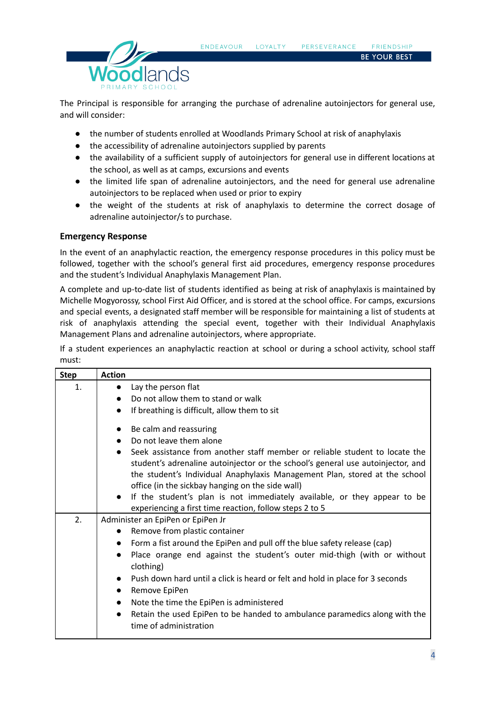

The Principal is responsible for arranging the purchase of adrenaline autoinjectors for general use, and will consider:

LOYALTY

PERSEVERANCE

**FRIENDSHIP BE YOUR BEST** 

- the number of students enrolled at Woodlands Primary School at risk of anaphylaxis
- the accessibility of adrenaline autoinjectors supplied by parents
- the availability of a sufficient supply of autoinjectors for general use in different locations at the school, as well as at camps, excursions and events
- the limited life span of adrenaline autoinjectors, and the need for general use adrenaline autoinjectors to be replaced when used or prior to expiry
- the weight of the students at risk of anaphylaxis to determine the correct dosage of adrenaline autoiniector/s to purchase.

# **Emergency Response**

In the event of an anaphylactic reaction, the emergency response procedures in this policy must be followed, together with the school's general first aid procedures, emergency response procedures and the student's Individual Anaphylaxis Management Plan.

A complete and up-to-date list of students identified as being at risk of anaphylaxis is maintained by Michelle Mogyorossy, school First Aid Officer, and is stored at the school office. For camps, excursions and special events, a designated staff member will be responsible for maintaining a list of students at risk of anaphylaxis attending the special event, together with their Individual Anaphylaxis Management Plans and adrenaline autoinjectors, where appropriate.

If a student experiences an anaphylactic reaction at school or during a school activity, school staff must:

| <b>Step</b> | <b>Action</b>                                                                                                                                                                                                                                                                                    |
|-------------|--------------------------------------------------------------------------------------------------------------------------------------------------------------------------------------------------------------------------------------------------------------------------------------------------|
| 1.          | Lay the person flat<br>$\bullet$                                                                                                                                                                                                                                                                 |
|             | Do not allow them to stand or walk                                                                                                                                                                                                                                                               |
|             | If breathing is difficult, allow them to sit<br>$\bullet$                                                                                                                                                                                                                                        |
|             | Be calm and reassuring                                                                                                                                                                                                                                                                           |
|             | Do not leave them alone                                                                                                                                                                                                                                                                          |
|             | Seek assistance from another staff member or reliable student to locate the<br>student's adrenaline autoinjector or the school's general use autoinjector, and<br>the student's Individual Anaphylaxis Management Plan, stored at the school<br>office (in the sickbay hanging on the side wall) |
|             | If the student's plan is not immediately available, or they appear to be<br>$\bullet$                                                                                                                                                                                                            |
|             | experiencing a first time reaction, follow steps 2 to 5                                                                                                                                                                                                                                          |
| 2.          | Administer an EpiPen or EpiPen Jr                                                                                                                                                                                                                                                                |
|             | Remove from plastic container                                                                                                                                                                                                                                                                    |
|             | Form a fist around the EpiPen and pull off the blue safety release (cap)<br>$\bullet$                                                                                                                                                                                                            |
|             | Place orange end against the student's outer mid-thigh (with or without<br>$\bullet$<br>clothing)                                                                                                                                                                                                |
|             | Push down hard until a click is heard or felt and hold in place for 3 seconds                                                                                                                                                                                                                    |
|             | Remove EpiPen<br>$\bullet$                                                                                                                                                                                                                                                                       |
|             | Note the time the EpiPen is administered<br>$\bullet$                                                                                                                                                                                                                                            |
|             | Retain the used EpiPen to be handed to ambulance paramedics along with the<br>$\bullet$<br>time of administration                                                                                                                                                                                |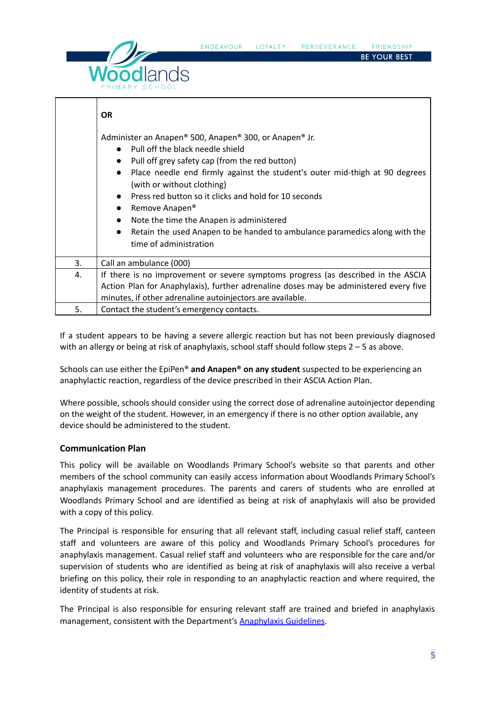



|    | <b>OR</b>                                                                                                                                                                                                                                                                                                                                                                                                                                                                                                                                                                                       |
|----|-------------------------------------------------------------------------------------------------------------------------------------------------------------------------------------------------------------------------------------------------------------------------------------------------------------------------------------------------------------------------------------------------------------------------------------------------------------------------------------------------------------------------------------------------------------------------------------------------|
|    | Administer an Anapen® 500, Anapen® 300, or Anapen® Jr.<br>Pull off the black needle shield<br>$\bullet$<br>Pull off grey safety cap (from the red button)<br>$\bullet$<br>Place needle end firmly against the student's outer mid-thigh at 90 degrees<br>$\bullet$<br>(with or without clothing)<br>Press red button so it clicks and hold for 10 seconds<br>$\bullet$<br>Remove Anapen <sup>®</sup><br>$\bullet$<br>Note the time the Anapen is administered<br>$\bullet$<br>Retain the used Anapen to be handed to ambulance paramedics along with the<br>$\bullet$<br>time of administration |
| 3. | Call an ambulance (000)                                                                                                                                                                                                                                                                                                                                                                                                                                                                                                                                                                         |
| 4. | If there is no improvement or severe symptoms progress (as described in the ASCIA<br>Action Plan for Anaphylaxis), further adrenaline doses may be administered every five<br>minutes, if other adrenaline autoinjectors are available.                                                                                                                                                                                                                                                                                                                                                         |
| 5. | Contact the student's emergency contacts.                                                                                                                                                                                                                                                                                                                                                                                                                                                                                                                                                       |

If a student appears to be having a severe allergic reaction but has not been previously diagnosed with an allergy or being at risk of anaphylaxis, school staff should follow steps  $2 - 5$  as above.

Schools can use either the EpiPen® **and Anapen® on any student** suspected to be experiencing an anaphylactic reaction, regardless of the device prescribed in their ASCIA Action Plan.

Where possible, schools should consider using the correct dose of adrenaline autoinjector depending on the weight of the student. However, in an emergency if there is no other option available, any device should be administered to the student.

# **Communication Plan**

This policy will be available on Woodlands Primary School's website so that parents and other members of the school community can easily access information about Woodlands Primary School's anaphylaxis management procedures. The parents and carers of students who are enrolled at Woodlands Primary School and are identified as being at risk of anaphylaxis will also be provided with a copy of this policy.

The Principal is responsible for ensuring that all relevant staff, including casual relief staff, canteen staff and volunteers are aware of this policy and Woodlands Primary School's procedures for anaphylaxis management. Casual relief staff and volunteers who are responsible for the care and/or supervision of students who are identified as being at risk of anaphylaxis will also receive a verbal briefing on this policy, their role in responding to an anaphylactic reaction and where required, the identity of students at risk.

The Principal is also responsible for ensuring relevant staff are trained and briefed in anaphylaxis management, consistent with the Department's **[Anaphylaxis](https://www2.education.vic.gov.au/pal/anaphylaxis/guidance) Guidelines**.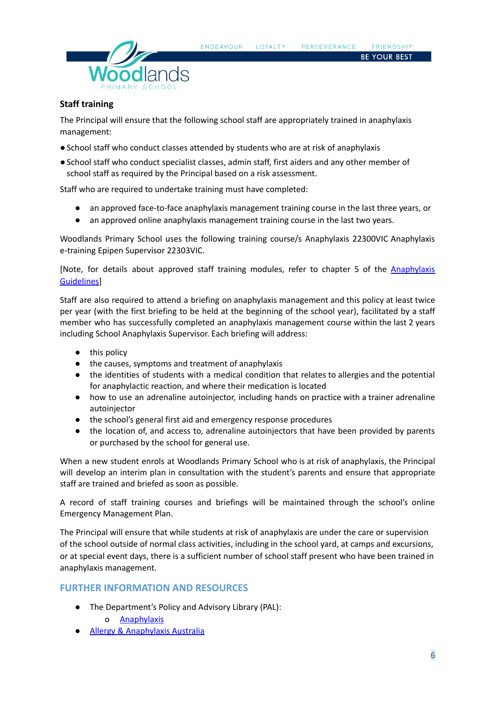

#### **Staff training**

The Principal will ensure that the following school staff are appropriately trained in anaphylaxis management:

- ●School staff who conduct classes attended by students who are at risk of anaphylaxis
- ●School staff who conduct specialist classes, admin staff, first aiders and any other member of school staff as required by the Principal based on a risk assessment.

Staff who are required to undertake training must have completed:

- an approved face-to-face anaphylaxis management training course in the last three years, or
- an approved online anaphylaxis management training course in the last two years.

Woodlands Primary School uses the following training course/s Anaphylaxis 22300VIC Anaphylaxis e-training Epipen Supervisor 22303VIC.

[Note, for details about approved staff training modules, refer to chapter 5 of the [Anaphylaxis](https://www2.education.vic.gov.au/pal/anaphylaxis/guidance/5-staff-training) **[Guidelines](https://www2.education.vic.gov.au/pal/anaphylaxis/guidance/5-staff-training)1** 

Staff are also required to attend a briefing on anaphylaxis management and this policy at least twice per year (with the first briefing to be held at the beginning of the school year), facilitated by a staff member who has successfully completed an anaphylaxis management course within the last 2 years including School Anaphylaxis Supervisor. Each briefing will address:

- this policy
- the causes, symptoms and treatment of anaphylaxis
- the identities of students with a medical condition that relates to allergies and the potential for anaphylactic reaction, and where their medication is located
- how to use an adrenaline autoinjector, including hands on practice with a trainer adrenaline autoinjector
- the school's general first aid and emergency response procedures
- the location of, and access to, adrenaline autoinjectors that have been provided by parents or purchased by the school for general use.

When a new student enrols at Woodlands Primary School who is at risk of anaphylaxis, the Principal will develop an interim plan in consultation with the student's parents and ensure that appropriate staff are trained and briefed as soon as possible.

A record of staff training courses and briefings will be maintained through the school's online Emergency Management Plan.

The Principal will ensure that while students at risk of anaphylaxis are under the care or supervision of the school outside of normal class activities, including in the school yard, at camps and excursions, or at special event days, there is a sufficient number of school staff present who have been trained in anaphylaxis management.

# **FURTHER INFORMATION AND RESOURCES**

- The Department's Policy and Advisory Library (PAL):
	- o [Anaphylaxis](https://www2.education.vic.gov.au/pal/anaphylaxis/policy)
- **Allergy & [Anaphylaxis](https://allergyfacts.org.au/) Australia**